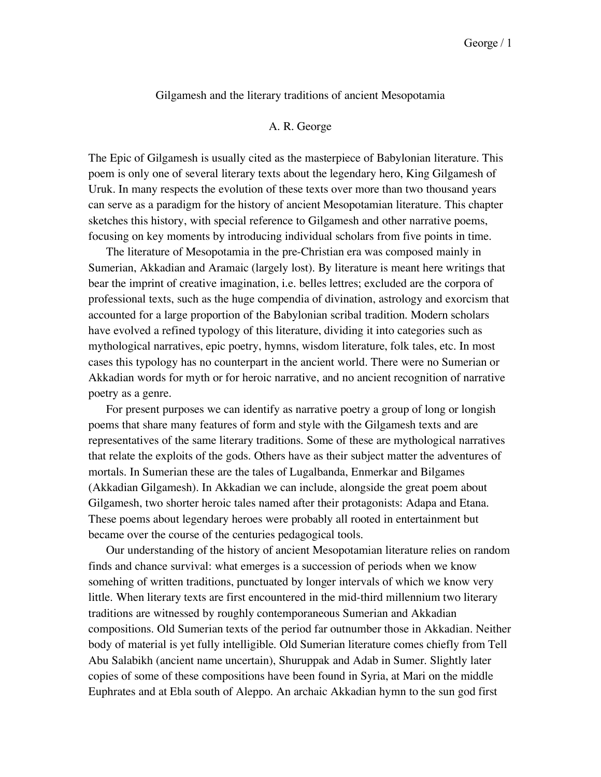Gilgamesh and the literary traditions of ancient Mesopotamia

#### A. R. George

The Epic of Gilgamesh is usually cited as the masterpiece of Babylonian literature. This poem is only one of several literary texts about the legendary hero, King Gilgamesh of Uruk. In many respects the evolution of these texts over more than two thousand years can serve as a paradigm for the history of ancient Mesopotamian literature. This chapter sketches this history, with special reference to Gilgamesh and other narrative poems, focusing on key moments by introducing individual scholars from five points in time.

The literature of Mesopotamia in the pre-Christian era was composed mainly in Sumerian, Akkadian and Aramaic (largely lost). By literature is meant here writings that bear the imprint of creative imagination, i.e. belles lettres; excluded are the corpora of professional texts, such as the huge compendia of divination, astrology and exorcism that accounted for a large proportion of the Babylonian scribal tradition. Modern scholars have evolved a refined typology of this literature, dividing it into categories such as mythological narratives, epic poetry, hymns, wisdom literature, folk tales, etc. In most cases this typology has no counterpart in the ancient world. There were no Sumerian or Akkadian words for myth or for heroic narrative, and no ancient recognition of narrative poetry as a genre.

For present purposes we can identify as narrative poetry a group of long or longish poems that share many features of form and style with the Gilgamesh texts and are representatives of the same literary traditions. Some of these are mythological narratives that relate the exploits of the gods. Others have as their subject matter the adventures of mortals. In Sumerian these are the tales of Lugalbanda, Enmerkar and Bilgames (Akkadian Gilgamesh). In Akkadian we can include, alongside the great poem about Gilgamesh, two shorter heroic tales named after their protagonists: Adapa and Etana. These poems about legendary heroes were probably all rooted in entertainment but became over the course of the centuries pedagogical tools.

Our understanding of the history of ancient Mesopotamian literature relies on random finds and chance survival: what emerges is a succession of periods when we know somehing of written traditions, punctuated by longer intervals of which we know very little. When literary texts are first encountered in the mid-third millennium two literary traditions are witnessed by roughly contemporaneous Sumerian and Akkadian compositions. Old Sumerian texts of the period far outnumber those in Akkadian. Neither body of material is yet fully intelligible. Old Sumerian literature comes chiefly from Tell Abu Salabikh (ancient name uncertain), Shuruppak and Adab in Sumer. Slightly later copies of some of these compositions have been found in Syria, at Mari on the middle Euphrates and at Ebla south of Aleppo. An archaic Akkadian hymn to the sun god first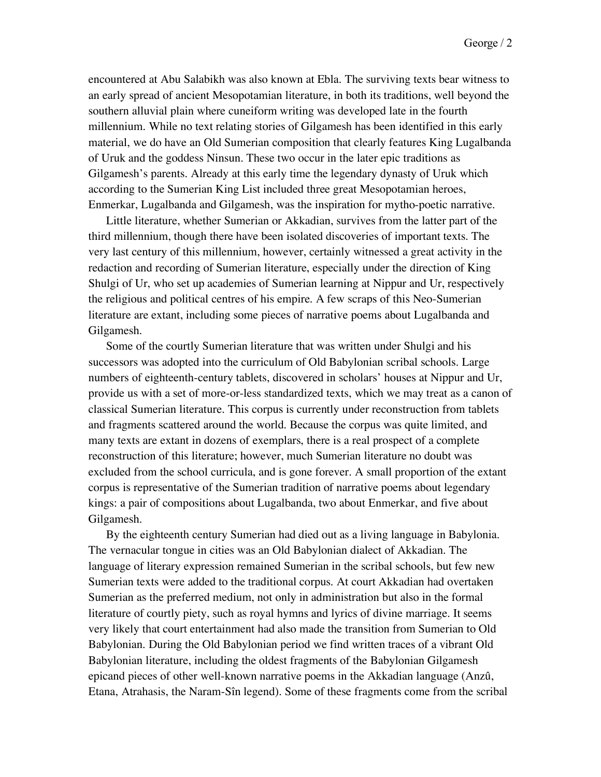encountered at Abu Salabikh was also known at Ebla. The surviving texts bear witness to an early spread of ancient Mesopotamian literature, in both its traditions, well beyond the southern alluvial plain where cuneiform writing was developed late in the fourth millennium. While no text relating stories of Gilgamesh has been identified in this early material, we do have an Old Sumerian composition that clearly features King Lugalbanda of Uruk and the goddess Ninsun. These two occur in the later epic traditions as Gilgamesh's parents. Already at this early time the legendary dynasty of Uruk which according to the Sumerian King List included three great Mesopotamian heroes, Enmerkar, Lugalbanda and Gilgamesh, was the inspiration for mytho-poetic narrative.

Little literature, whether Sumerian or Akkadian, survives from the latter part of the third millennium, though there have been isolated discoveries of important texts. The very last century of this millennium, however, certainly witnessed a great activity in the redaction and recording of Sumerian literature, especially under the direction of King Shulgi of Ur, who set up academies of Sumerian learning at Nippur and Ur, respectively the religious and political centres of his empire. A few scraps of this Neo-Sumerian literature are extant, including some pieces of narrative poems about Lugalbanda and Gilgamesh.

Some of the courtly Sumerian literature that was written under Shulgi and his successors was adopted into the curriculum of Old Babylonian scribal schools. Large numbers of eighteenth-century tablets, discovered in scholars' houses at Nippur and Ur, provide us with a set of more-or-less standardized texts, which we may treat as a canon of classical Sumerian literature. This corpus is currently under reconstruction from tablets and fragments scattered around the world. Because the corpus was quite limited, and many texts are extant in dozens of exemplars, there is a real prospect of a complete reconstruction of this literature; however, much Sumerian literature no doubt was excluded from the school curricula, and is gone forever. A small proportion of the extant corpus is representative of the Sumerian tradition of narrative poems about legendary kings: a pair of compositions about Lugalbanda, two about Enmerkar, and five about Gilgamesh.

By the eighteenth century Sumerian had died out as a living language in Babylonia. The vernacular tongue in cities was an Old Babylonian dialect of Akkadian. The language of literary expression remained Sumerian in the scribal schools, but few new Sumerian texts were added to the traditional corpus. At court Akkadian had overtaken Sumerian as the preferred medium, not only in administration but also in the formal literature of courtly piety, such as royal hymns and lyrics of divine marriage. It seems very likely that court entertainment had also made the transition from Sumerian to Old Babylonian. During the Old Babylonian period we find written traces of a vibrant Old Babylonian literature, including the oldest fragments of the Babylonian Gilgamesh epicand pieces of other well-known narrative poems in the Akkadian language (Anzû, Etana, Atrahasis, the Naram-Sîn legend). Some of these fragments come from the scribal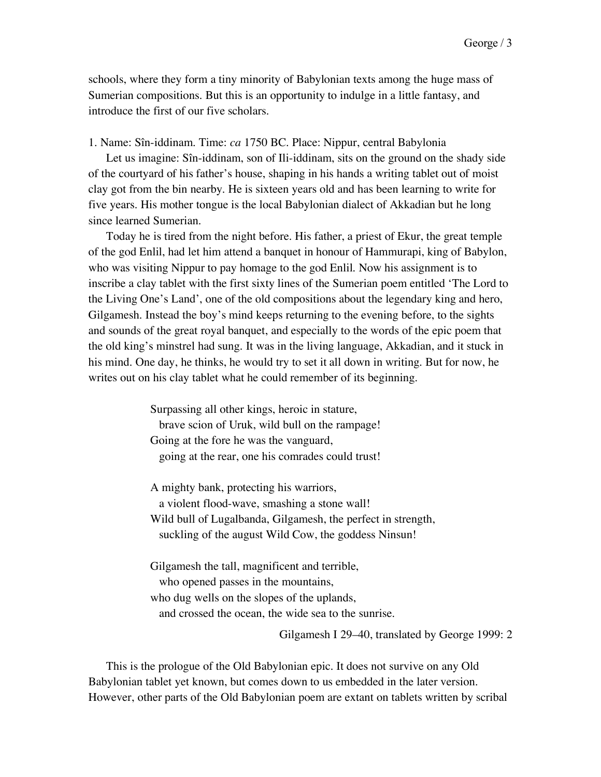schools, where they form a tiny minority of Babylonian texts among the huge mass of Sumerian compositions. But this is an opportunity to indulge in a little fantasy, and introduce the first of our five scholars.

1. Name: Sîn-iddinam. Time: *ca* 1750 BC. Place: Nippur, central Babylonia

Let us imagine: Sîn-iddinam, son of Ili-iddinam, sits on the ground on the shady side of the courtyard of his father's house, shaping in his hands a writing tablet out of moist clay got from the bin nearby. He is sixteen years old and has been learning to write for five years. His mother tongue is the local Babylonian dialect of Akkadian but he long since learned Sumerian.

Today he is tired from the night before. His father, a priest of Ekur, the great temple of the god Enlil, had let him attend a banquet in honour of Hammurapi, king of Babylon, who was visiting Nippur to pay homage to the god Enlil. Now his assignment is to inscribe a clay tablet with the first sixty lines of the Sumerian poem entitled 'The Lord to the Living One's Land', one of the old compositions about the legendary king and hero, Gilgamesh. Instead the boy's mind keeps returning to the evening before, to the sights and sounds of the great royal banquet, and especially to the words of the epic poem that the old king's minstrel had sung. It was in the living language, Akkadian, and it stuck in his mind. One day, he thinks, he would try to set it all down in writing. But for now, he writes out on his clay tablet what he could remember of its beginning.

> Surpassing all other kings, heroic in stature, brave scion of Uruk, wild bull on the rampage! Going at the fore he was the vanguard, going at the rear, one his comrades could trust!

A mighty bank, protecting his warriors, a violent flood-wave, smashing a stone wall! Wild bull of Lugalbanda, Gilgamesh, the perfect in strength, suckling of the august Wild Cow, the goddess Ninsun!

Gilgamesh the tall, magnificent and terrible, who opened passes in the mountains, who dug wells on the slopes of the uplands, and crossed the ocean, the wide sea to the sunrise.

Gilgamesh I 29–40, translated by George 1999: 2

This is the prologue of the Old Babylonian epic. It does not survive on any Old Babylonian tablet yet known, but comes down to us embedded in the later version. However, other parts of the Old Babylonian poem are extant on tablets written by scribal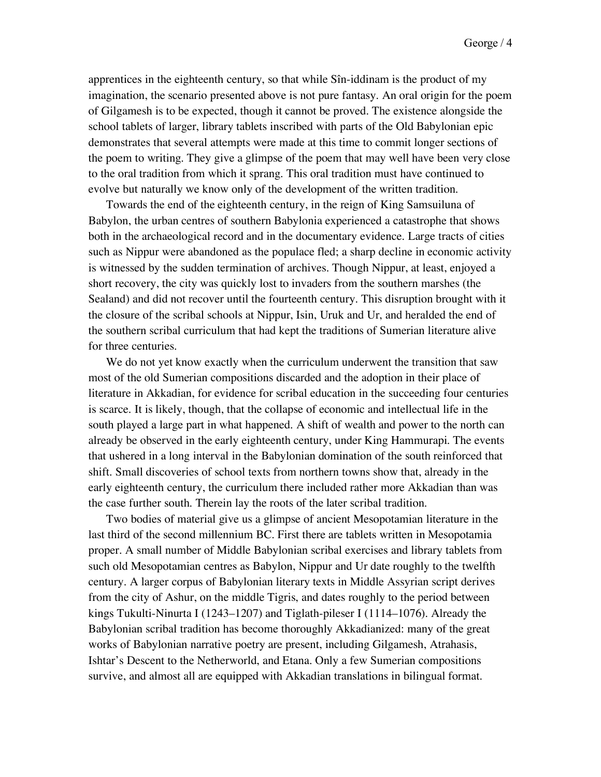apprentices in the eighteenth century, so that while Sîn-iddinam is the product of my imagination, the scenario presented above is not pure fantasy. An oral origin for the poem of Gilgamesh is to be expected, though it cannot be proved. The existence alongside the school tablets of larger, library tablets inscribed with parts of the Old Babylonian epic demonstrates that several attempts were made at this time to commit longer sections of the poem to writing. They give a glimpse of the poem that may well have been very close to the oral tradition from which it sprang. This oral tradition must have continued to evolve but naturally we know only of the development of the written tradition.

Towards the end of the eighteenth century, in the reign of King Samsuiluna of Babylon, the urban centres of southern Babylonia experienced a catastrophe that shows both in the archaeological record and in the documentary evidence. Large tracts of cities such as Nippur were abandoned as the populace fled; a sharp decline in economic activity is witnessed by the sudden termination of archives. Though Nippur, at least, enjoyed a short recovery, the city was quickly lost to invaders from the southern marshes (the Sealand) and did not recover until the fourteenth century. This disruption brought with it the closure of the scribal schools at Nippur, Isin, Uruk and Ur, and heralded the end of the southern scribal curriculum that had kept the traditions of Sumerian literature alive for three centuries.

We do not yet know exactly when the curriculum underwent the transition that saw most of the old Sumerian compositions discarded and the adoption in their place of literature in Akkadian, for evidence for scribal education in the succeeding four centuries is scarce. It is likely, though, that the collapse of economic and intellectual life in the south played a large part in what happened. A shift of wealth and power to the north can already be observed in the early eighteenth century, under King Hammurapi. The events that ushered in a long interval in the Babylonian domination of the south reinforced that shift. Small discoveries of school texts from northern towns show that, already in the early eighteenth century, the curriculum there included rather more Akkadian than was the case further south. Therein lay the roots of the later scribal tradition.

Two bodies of material give us a glimpse of ancient Mesopotamian literature in the last third of the second millennium BC. First there are tablets written in Mesopotamia proper. A small number of Middle Babylonian scribal exercises and library tablets from such old Mesopotamian centres as Babylon, Nippur and Ur date roughly to the twelfth century. A larger corpus of Babylonian literary texts in Middle Assyrian script derives from the city of Ashur, on the middle Tigris, and dates roughly to the period between kings Tukulti-Ninurta I (1243–1207) and Tiglath-pileser I (1114–1076). Already the Babylonian scribal tradition has become thoroughly Akkadianized: many of the great works of Babylonian narrative poetry are present, including Gilgamesh, Atrahasis, Ishtar's Descent to the Netherworld, and Etana. Only a few Sumerian compositions survive, and almost all are equipped with Akkadian translations in bilingual format.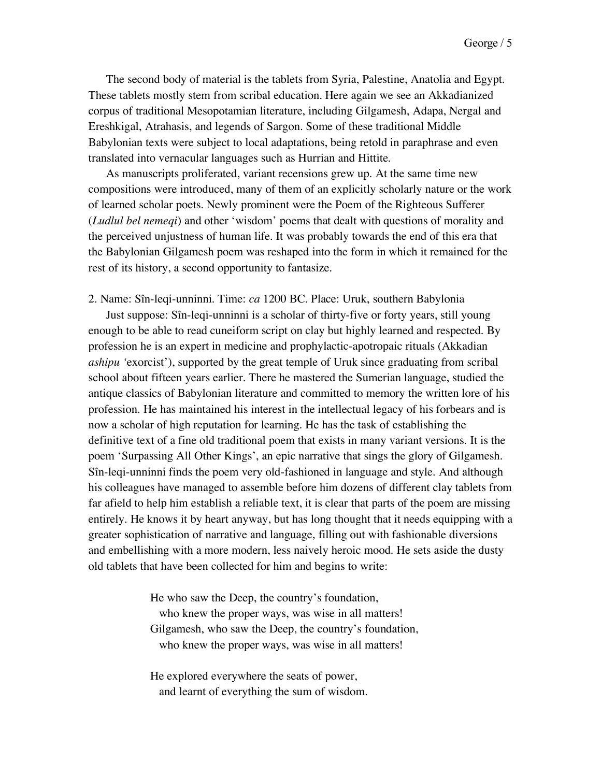The second body of material is the tablets from Syria, Palestine, Anatolia and Egypt. These tablets mostly stem from scribal education. Here again we see an Akkadianized corpus of traditional Mesopotamian literature, including Gilgamesh, Adapa, Nergal and Ereshkigal, Atrahasis, and legends of Sargon. Some of these traditional Middle Babylonian texts were subject to local adaptations, being retold in paraphrase and even translated into vernacular languages such as Hurrian and Hittite.

As manuscripts proliferated, variant recensions grew up. At the same time new compositions were introduced, many of them of an explicitly scholarly nature or the work of learned scholar poets. Newly prominent were the Poem of the Righteous Sufferer (*Ludlul bel nemeqi*) and other 'wisdom' poems that dealt with questions of morality and the perceived unjustness of human life. It was probably towards the end of this era that the Babylonian Gilgamesh poem was reshaped into the form in which it remained for the rest of its history, a second opportunity to fantasize.

2. Name: Sîn-leqi-unninni. Time: *ca* 1200 BC. Place: Uruk, southern Babylonia

Just suppose: Sîn-leqi-unninni is a scholar of thirty-five or forty years, still young enough to be able to read cuneiform script on clay but highly learned and respected. By profession he is an expert in medicine and prophylactic-apotropaic rituals (Akkadian *ashipu '*exorcist'), supported by the great temple of Uruk since graduating from scribal school about fifteen years earlier. There he mastered the Sumerian language, studied the antique classics of Babylonian literature and committed to memory the written lore of his profession. He has maintained his interest in the intellectual legacy of his forbears and is now a scholar of high reputation for learning. He has the task of establishing the definitive text of a fine old traditional poem that exists in many variant versions. It is the poem 'Surpassing All Other Kings', an epic narrative that sings the glory of Gilgamesh. Sîn-leqi-unninni finds the poem very old-fashioned in language and style. And although his colleagues have managed to assemble before him dozens of different clay tablets from far afield to help him establish a reliable text, it is clear that parts of the poem are missing entirely. He knows it by heart anyway, but has long thought that it needs equipping with a greater sophistication of narrative and language, filling out with fashionable diversions and embellishing with a more modern, less naively heroic mood. He sets aside the dusty old tablets that have been collected for him and begins to write:

> He who saw the Deep, the country's foundation, who knew the proper ways, was wise in all matters! Gilgamesh, who saw the Deep, the country's foundation, who knew the proper ways, was wise in all matters!

He explored everywhere the seats of power, and learnt of everything the sum of wisdom.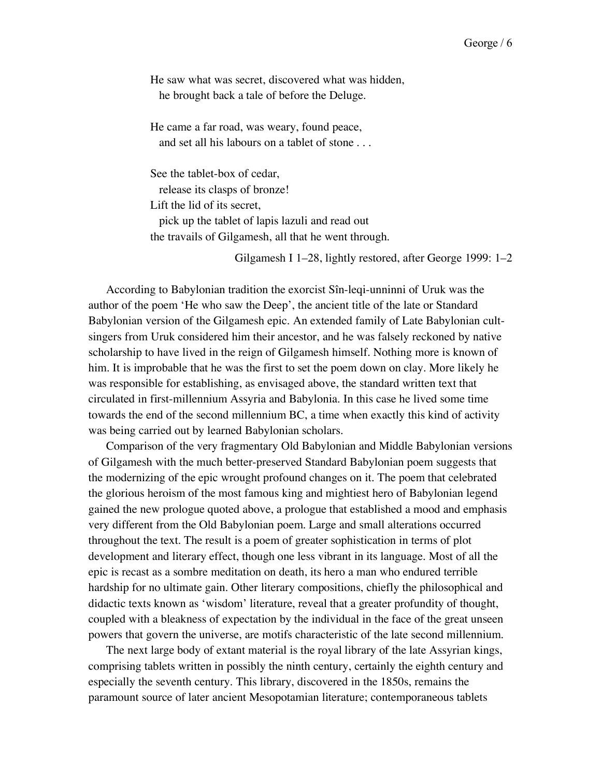He saw what was secret, discovered what was hidden, he brought back a tale of before the Deluge.

He came a far road, was weary, found peace, and set all his labours on a tablet of stone . . .

See the tablet-box of cedar, release its clasps of bronze! Lift the lid of its secret, pick up the tablet of lapis lazuli and read out the travails of Gilgamesh, all that he went through.

Gilgamesh I 1–28, lightly restored, after George 1999: 1–2

According to Babylonian tradition the exorcist Sîn-leqi-unninni of Uruk was the author of the poem 'He who saw the Deep', the ancient title of the late or Standard Babylonian version of the Gilgamesh epic. An extended family of Late Babylonian cultsingers from Uruk considered him their ancestor, and he was falsely reckoned by native scholarship to have lived in the reign of Gilgamesh himself. Nothing more is known of him. It is improbable that he was the first to set the poem down on clay. More likely he was responsible for establishing, as envisaged above, the standard written text that circulated in first-millennium Assyria and Babylonia. In this case he lived some time towards the end of the second millennium BC, a time when exactly this kind of activity was being carried out by learned Babylonian scholars.

Comparison of the very fragmentary Old Babylonian and Middle Babylonian versions of Gilgamesh with the much better-preserved Standard Babylonian poem suggests that the modernizing of the epic wrought profound changes on it. The poem that celebrated the glorious heroism of the most famous king and mightiest hero of Babylonian legend gained the new prologue quoted above, a prologue that established a mood and emphasis very different from the Old Babylonian poem. Large and small alterations occurred throughout the text. The result is a poem of greater sophistication in terms of plot development and literary effect, though one less vibrant in its language. Most of all the epic is recast as a sombre meditation on death, its hero a man who endured terrible hardship for no ultimate gain. Other literary compositions, chiefly the philosophical and didactic texts known as 'wisdom' literature, reveal that a greater profundity of thought, coupled with a bleakness of expectation by the individual in the face of the great unseen powers that govern the universe, are motifs characteristic of the late second millennium.

The next large body of extant material is the royal library of the late Assyrian kings, comprising tablets written in possibly the ninth century, certainly the eighth century and especially the seventh century. This library, discovered in the 1850s, remains the paramount source of later ancient Mesopotamian literature; contemporaneous tablets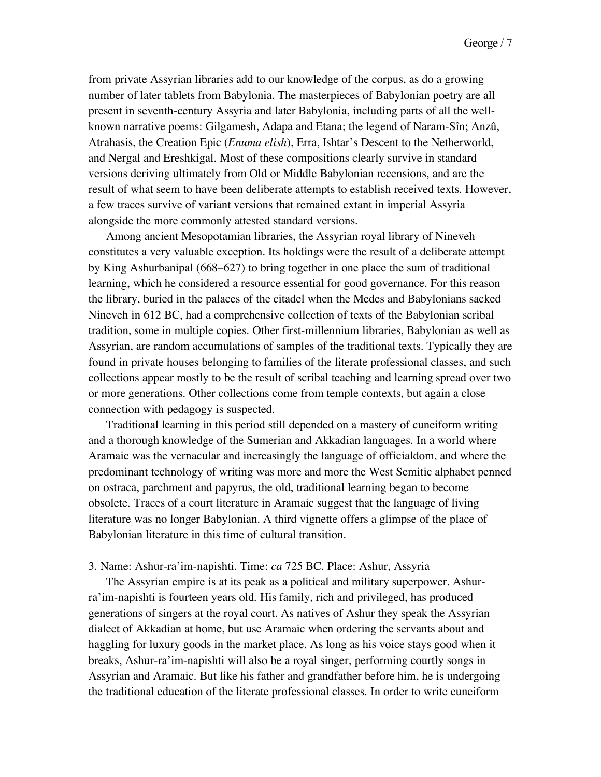from private Assyrian libraries add to our knowledge of the corpus, as do a growing number of later tablets from Babylonia. The masterpieces of Babylonian poetry are all present in seventh-century Assyria and later Babylonia, including parts of all the wellknown narrative poems: Gilgamesh, Adapa and Etana; the legend of Naram-Sîn; Anzû, Atrahasis, the Creation Epic (*Enuma elish*), Erra, Ishtar's Descent to the Netherworld, and Nergal and Ereshkigal. Most of these compositions clearly survive in standard versions deriving ultimately from Old or Middle Babylonian recensions, and are the result of what seem to have been deliberate attempts to establish received texts. However, a few traces survive of variant versions that remained extant in imperial Assyria alongside the more commonly attested standard versions.

Among ancient Mesopotamian libraries, the Assyrian royal library of Nineveh constitutes a very valuable exception. Its holdings were the result of a deliberate attempt by King Ashurbanipal (668–627) to bring together in one place the sum of traditional learning, which he considered a resource essential for good governance. For this reason the library, buried in the palaces of the citadel when the Medes and Babylonians sacked Nineveh in 612 BC, had a comprehensive collection of texts of the Babylonian scribal tradition, some in multiple copies. Other first-millennium libraries, Babylonian as well as Assyrian, are random accumulations of samples of the traditional texts. Typically they are found in private houses belonging to families of the literate professional classes, and such collections appear mostly to be the result of scribal teaching and learning spread over two or more generations. Other collections come from temple contexts, but again a close connection with pedagogy is suspected.

Traditional learning in this period still depended on a mastery of cuneiform writing and a thorough knowledge of the Sumerian and Akkadian languages. In a world where Aramaic was the vernacular and increasingly the language of officialdom, and where the predominant technology of writing was more and more the West Semitic alphabet penned on ostraca, parchment and papyrus, the old, traditional learning began to become obsolete. Traces of a court literature in Aramaic suggest that the language of living literature was no longer Babylonian. A third vignette offers a glimpse of the place of Babylonian literature in this time of cultural transition.

#### 3. Name: Ashur-ra'im-napishti. Time: *ca* 725 BC. Place: Ashur, Assyria

The Assyrian empire is at its peak as a political and military superpower. Ashurra'im-napishti is fourteen years old. His family, rich and privileged, has produced generations of singers at the royal court. As natives of Ashur they speak the Assyrian dialect of Akkadian at home, but use Aramaic when ordering the servants about and haggling for luxury goods in the market place. As long as his voice stays good when it breaks, Ashur-ra'im-napishti will also be a royal singer, performing courtly songs in Assyrian and Aramaic. But like his father and grandfather before him, he is undergoing the traditional education of the literate professional classes. In order to write cuneiform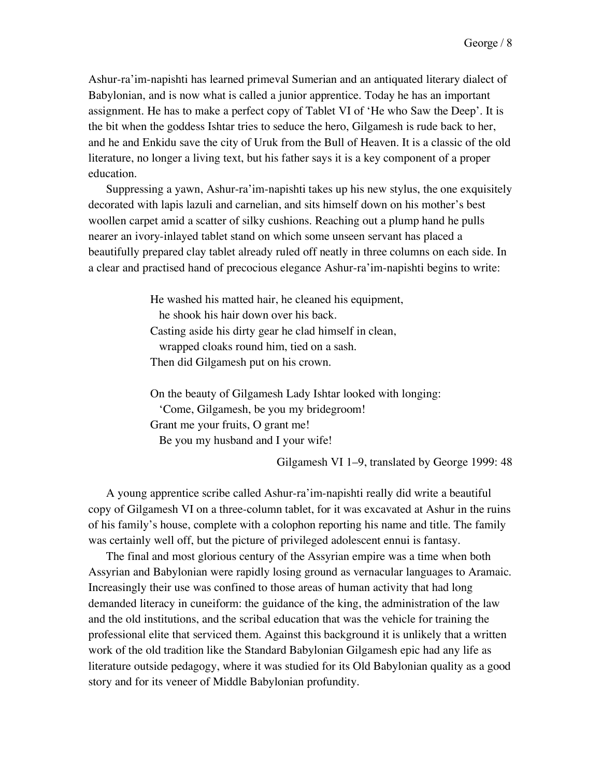Ashur-ra'im-napishti has learned primeval Sumerian and an antiquated literary dialect of Babylonian, and is now what is called a junior apprentice. Today he has an important assignment. He has to make a perfect copy of Tablet VI of 'He who Saw the Deep'. It is the bit when the goddess Ishtar tries to seduce the hero, Gilgamesh is rude back to her, and he and Enkidu save the city of Uruk from the Bull of Heaven. It is a classic of the old literature, no longer a living text, but his father says it is a key component of a proper education.

Suppressing a yawn, Ashur-ra'im-napishti takes up his new stylus, the one exquisitely decorated with lapis lazuli and carnelian, and sits himself down on his mother's best woollen carpet amid a scatter of silky cushions. Reaching out a plump hand he pulls nearer an ivory-inlayed tablet stand on which some unseen servant has placed a beautifully prepared clay tablet already ruled off neatly in three columns on each side. In a clear and practised hand of precocious elegance Ashur-ra'im-napishti begins to write:

> He washed his matted hair, he cleaned his equipment, he shook his hair down over his back. Casting aside his dirty gear he clad himself in clean, wrapped cloaks round him, tied on a sash. Then did Gilgamesh put on his crown.

On the beauty of Gilgamesh Lady Ishtar looked with longing: 'Come, Gilgamesh, be you my bridegroom! Grant me your fruits, O grant me! Be you my husband and I your wife!

Gilgamesh VI 1–9, translated by George 1999: 48

A young apprentice scribe called Ashur-ra'im-napishti really did write a beautiful copy of Gilgamesh VI on a three-column tablet, for it was excavated at Ashur in the ruins of his family's house, complete with a colophon reporting his name and title. The family was certainly well off, but the picture of privileged adolescent ennui is fantasy.

The final and most glorious century of the Assyrian empire was a time when both Assyrian and Babylonian were rapidly losing ground as vernacular languages to Aramaic. Increasingly their use was confined to those areas of human activity that had long demanded literacy in cuneiform: the guidance of the king, the administration of the law and the old institutions, and the scribal education that was the vehicle for training the professional elite that serviced them. Against this background it is unlikely that a written work of the old tradition like the Standard Babylonian Gilgamesh epic had any life as literature outside pedagogy, where it was studied for its Old Babylonian quality as a good story and for its veneer of Middle Babylonian profundity.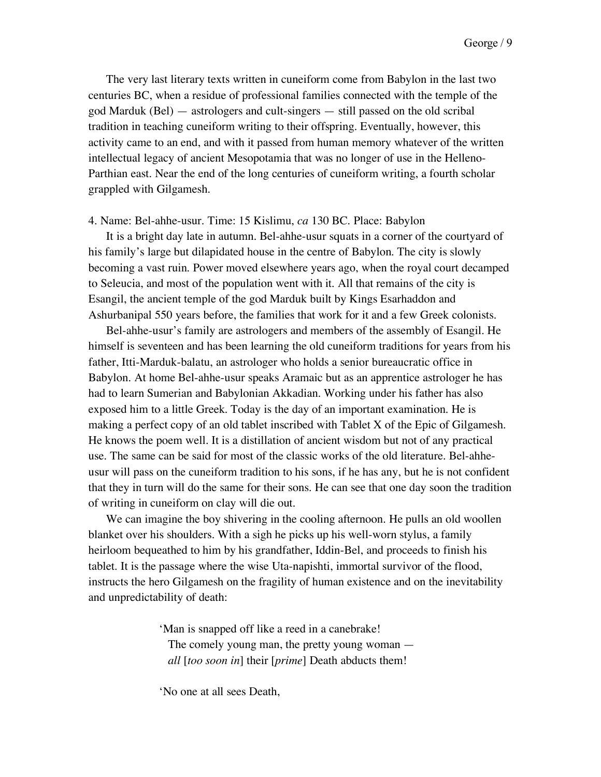The very last literary texts written in cuneiform come from Babylon in the last two centuries BC, when a residue of professional families connected with the temple of the god Marduk (Bel) — astrologers and cult-singers — still passed on the old scribal tradition in teaching cuneiform writing to their offspring. Eventually, however, this activity came to an end, and with it passed from human memory whatever of the written intellectual legacy of ancient Mesopotamia that was no longer of use in the Helleno-Parthian east. Near the end of the long centuries of cuneiform writing, a fourth scholar grappled with Gilgamesh.

## 4. Name: Bel-ahhe-usur. Time: 15 Kislimu, *ca* 130 BC. Place: Babylon

It is a bright day late in autumn. Bel-ahhe-usur squats in a corner of the courtyard of his family's large but dilapidated house in the centre of Babylon. The city is slowly becoming a vast ruin. Power moved elsewhere years ago, when the royal court decamped to Seleucia, and most of the population went with it. All that remains of the city is Esangil, the ancient temple of the god Marduk built by Kings Esarhaddon and Ashurbanipal 550 years before, the families that work for it and a few Greek colonists.

Bel-ahhe-usur's family are astrologers and members of the assembly of Esangil. He himself is seventeen and has been learning the old cuneiform traditions for years from his father, Itti-Marduk-balatu, an astrologer who holds a senior bureaucratic office in Babylon. At home Bel-ahhe-usur speaks Aramaic but as an apprentice astrologer he has had to learn Sumerian and Babylonian Akkadian. Working under his father has also exposed him to a little Greek. Today is the day of an important examination. He is making a perfect copy of an old tablet inscribed with Tablet X of the Epic of Gilgamesh. He knows the poem well. It is a distillation of ancient wisdom but not of any practical use. The same can be said for most of the classic works of the old literature. Bel-ahheusur will pass on the cuneiform tradition to his sons, if he has any, but he is not confident that they in turn will do the same for their sons. He can see that one day soon the tradition of writing in cuneiform on clay will die out.

We can imagine the boy shivering in the cooling afternoon. He pulls an old woollen blanket over his shoulders. With a sigh he picks up his well-worn stylus, a family heirloom bequeathed to him by his grandfather, Iddin-Bel, and proceeds to finish his tablet. It is the passage where the wise Uta-napishti, immortal survivor of the flood, instructs the hero Gilgamesh on the fragility of human existence and on the inevitability and unpredictability of death:

> 'Man is snapped off like a reed in a canebrake! The comely young man, the pretty young woman *all* [*too soon in*] their [*prime*] Death abducts them!

'No one at all sees Death,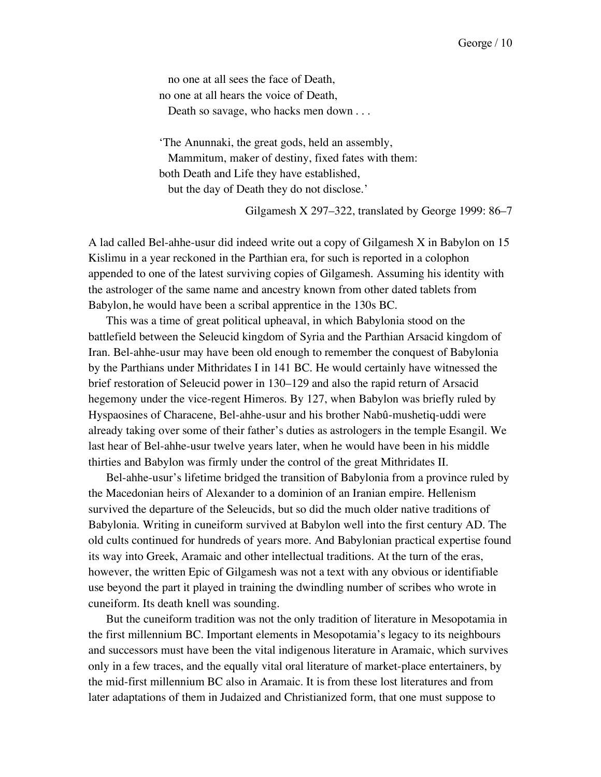no one at all sees the face of Death, no one at all hears the voice of Death, Death so savage, who hacks men down . . .

'The Anunnaki, the great gods, held an assembly, Mammitum, maker of destiny, fixed fates with them: both Death and Life they have established, but the day of Death they do not disclose.'

Gilgamesh X 297–322, translated by George 1999: 86–7

A lad called Bel-ahhe-usur did indeed write out a copy of Gilgamesh X in Babylon on 15 Kislimu in a year reckoned in the Parthian era, for such is reported in a colophon appended to one of the latest surviving copies of Gilgamesh. Assuming his identity with the astrologer of the same name and ancestry known from other dated tablets from Babylon, he would have been a scribal apprentice in the 130s BC.

This was a time of great political upheaval, in which Babylonia stood on the battlefield between the Seleucid kingdom of Syria and the Parthian Arsacid kingdom of Iran. Bel-ahhe-usur may have been old enough to remember the conquest of Babylonia by the Parthians under Mithridates I in 141 BC. He would certainly have witnessed the brief restoration of Seleucid power in 130–129 and also the rapid return of Arsacid hegemony under the vice-regent Himeros. By 127, when Babylon was briefly ruled by Hyspaosines of Characene, Bel-ahhe-usur and his brother Nabû-mushetiq-uddi were already taking over some of their father's duties as astrologers in the temple Esangil. We last hear of Bel-ahhe-usur twelve years later, when he would have been in his middle thirties and Babylon was firmly under the control of the great Mithridates II.

Bel-ahhe-usur's lifetime bridged the transition of Babylonia from a province ruled by the Macedonian heirs of Alexander to a dominion of an Iranian empire. Hellenism survived the departure of the Seleucids, but so did the much older native traditions of Babylonia. Writing in cuneiform survived at Babylon well into the first century AD. The old cults continued for hundreds of years more. And Babylonian practical expertise found its way into Greek, Aramaic and other intellectual traditions. At the turn of the eras, however, the written Epic of Gilgamesh was not a text with any obvious or identifiable use beyond the part it played in training the dwindling number of scribes who wrote in cuneiform. Its death knell was sounding.

But the cuneiform tradition was not the only tradition of literature in Mesopotamia in the first millennium BC. Important elements in Mesopotamia's legacy to its neighbours and successors must have been the vital indigenous literature in Aramaic, which survives only in a few traces, and the equally vital oral literature of market-place entertainers, by the mid-first millennium BC also in Aramaic. It is from these lost literatures and from later adaptations of them in Judaized and Christianized form, that one must suppose to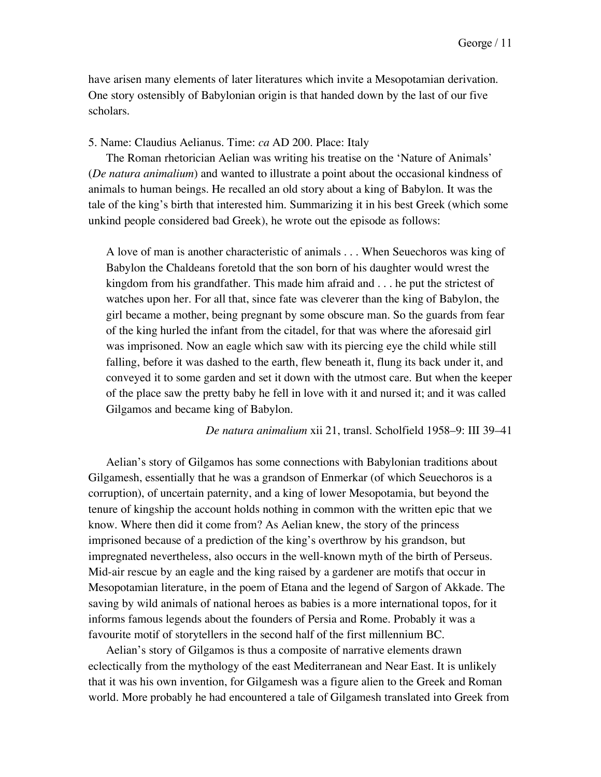have arisen many elements of later literatures which invite a Mesopotamian derivation. One story ostensibly of Babylonian origin is that handed down by the last of our five scholars.

# 5. Name: Claudius Aelianus. Time: *ca* AD 200. Place: Italy

The Roman rhetorician Aelian was writing his treatise on the 'Nature of Animals' (*De natura animalium*) and wanted to illustrate a point about the occasional kindness of animals to human beings. He recalled an old story about a king of Babylon. It was the tale of the king's birth that interested him. Summarizing it in his best Greek (which some unkind people considered bad Greek), he wrote out the episode as follows:

A love of man is another characteristic of animals . . . When Seuechoros was king of Babylon the Chaldeans foretold that the son born of his daughter would wrest the kingdom from his grandfather. This made him afraid and . . . he put the strictest of watches upon her. For all that, since fate was cleverer than the king of Babylon, the girl became a mother, being pregnant by some obscure man. So the guards from fear of the king hurled the infant from the citadel, for that was where the aforesaid girl was imprisoned. Now an eagle which saw with its piercing eye the child while still falling, before it was dashed to the earth, flew beneath it, flung its back under it, and conveyed it to some garden and set it down with the utmost care. But when the keeper of the place saw the pretty baby he fell in love with it and nursed it; and it was called Gilgamos and became king of Babylon.

# *De natura animalium* xii 21, transl. Scholfield 1958–9: III 39–41

Aelian's story of Gilgamos has some connections with Babylonian traditions about Gilgamesh, essentially that he was a grandson of Enmerkar (of which Seuechoros is a corruption), of uncertain paternity, and a king of lower Mesopotamia, but beyond the tenure of kingship the account holds nothing in common with the written epic that we know. Where then did it come from? As Aelian knew, the story of the princess imprisoned because of a prediction of the king's overthrow by his grandson, but impregnated nevertheless, also occurs in the well-known myth of the birth of Perseus. Mid-air rescue by an eagle and the king raised by a gardener are motifs that occur in Mesopotamian literature, in the poem of Etana and the legend of Sargon of Akkade. The saving by wild animals of national heroes as babies is a more international topos, for it informs famous legends about the founders of Persia and Rome. Probably it was a favourite motif of storytellers in the second half of the first millennium BC.

Aelian's story of Gilgamos is thus a composite of narrative elements drawn eclectically from the mythology of the east Mediterranean and Near East. It is unlikely that it was his own invention, for Gilgamesh was a figure alien to the Greek and Roman world. More probably he had encountered a tale of Gilgamesh translated into Greek from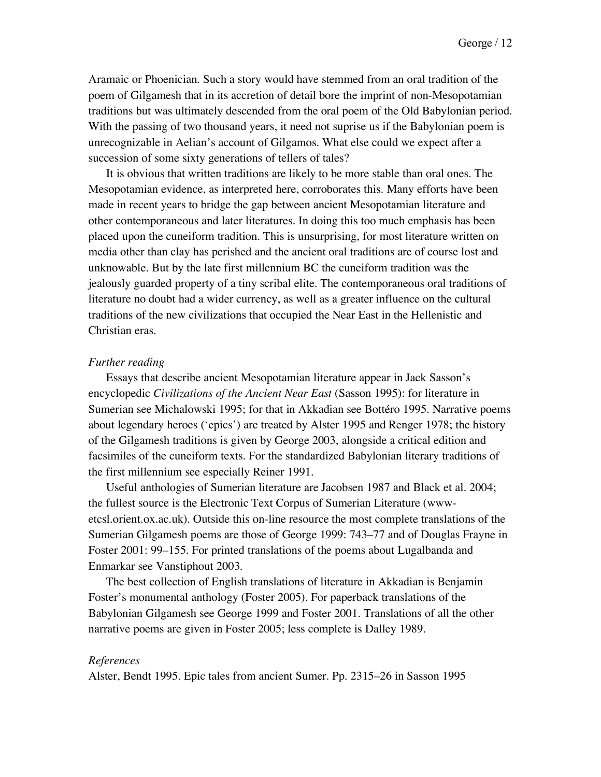Aramaic or Phoenician. Such a story would have stemmed from an oral tradition of the poem of Gilgamesh that in its accretion of detail bore the imprint of non-Mesopotamian traditions but was ultimately descended from the oral poem of the Old Babylonian period. With the passing of two thousand years, it need not suprise us if the Babylonian poem is unrecognizable in Aelian's account of Gilgamos. What else could we expect after a succession of some sixty generations of tellers of tales?

It is obvious that written traditions are likely to be more stable than oral ones. The Mesopotamian evidence, as interpreted here, corroborates this. Many efforts have been made in recent years to bridge the gap between ancient Mesopotamian literature and other contemporaneous and later literatures. In doing this too much emphasis has been placed upon the cuneiform tradition. This is unsurprising, for most literature written on media other than clay has perished and the ancient oral traditions are of course lost and unknowable. But by the late first millennium BC the cuneiform tradition was the jealously guarded property of a tiny scribal elite. The contemporaneous oral traditions of literature no doubt had a wider currency, as well as a greater influence on the cultural traditions of the new civilizations that occupied the Near East in the Hellenistic and Christian eras.

# *Further reading*

Essays that describe ancient Mesopotamian literature appear in Jack Sasson's encyclopedic *Civilizations of the Ancient Near East* (Sasson 1995): for literature in Sumerian see Michalowski 1995; for that in Akkadian see Bottéro 1995. Narrative poems about legendary heroes ('epics') are treated by Alster 1995 and Renger 1978; the history of the Gilgamesh traditions is given by George 2003, alongside a critical edition and facsimiles of the cuneiform texts. For the standardized Babylonian literary traditions of the first millennium see especially Reiner 1991.

Useful anthologies of Sumerian literature are Jacobsen 1987 and Black et al. 2004; the fullest source is the Electronic Text Corpus of Sumerian Literature (wwwetcsl.orient.ox.ac.uk). Outside this on-line resource the most complete translations of the Sumerian Gilgamesh poems are those of George 1999: 743–77 and of Douglas Frayne in Foster 2001: 99–155. For printed translations of the poems about Lugalbanda and Enmarkar see Vanstiphout 2003.

The best collection of English translations of literature in Akkadian is Benjamin Foster's monumental anthology (Foster 2005). For paperback translations of the Babylonian Gilgamesh see George 1999 and Foster 2001. Translations of all the other narrative poems are given in Foster 2005; less complete is Dalley 1989.

#### *References*

Alster, Bendt 1995. Epic tales from ancient Sumer. Pp. 2315–26 in Sasson 1995